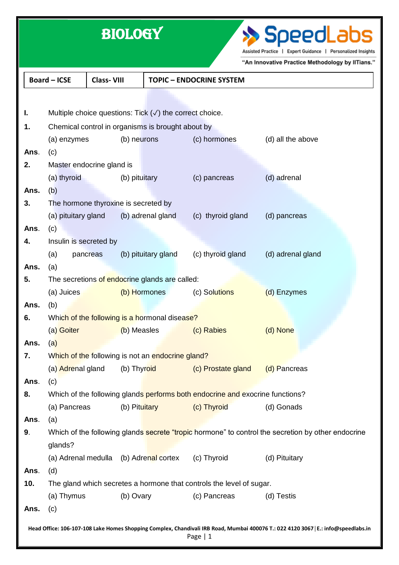|                                                                                                                                                 |                                                                                                               | <b>BIOLOGY</b>    | SpeedLabs<br>Assisted Practice   Expert Guidance   Personalized Insights<br>"An Innovative Practice Methodology by IITians." |                                 |                   |  |  |  |
|-------------------------------------------------------------------------------------------------------------------------------------------------|---------------------------------------------------------------------------------------------------------------|-------------------|------------------------------------------------------------------------------------------------------------------------------|---------------------------------|-------------------|--|--|--|
|                                                                                                                                                 | <b>Board-ICSE</b>                                                                                             | <b>Class-VIII</b> |                                                                                                                              | <b>TOPIC - ENDOCRINE SYSTEM</b> |                   |  |  |  |
|                                                                                                                                                 |                                                                                                               |                   |                                                                                                                              |                                 |                   |  |  |  |
| ı.                                                                                                                                              | Multiple choice questions: Tick $(\sqrt{})$ the correct choice.                                               |                   |                                                                                                                              |                                 |                   |  |  |  |
| 1.                                                                                                                                              | Chemical control in organisms is brought about by                                                             |                   |                                                                                                                              |                                 |                   |  |  |  |
|                                                                                                                                                 | (a) enzymes                                                                                                   | (b) neurons       |                                                                                                                              | (c) hormones                    | (d) all the above |  |  |  |
| Ans.                                                                                                                                            | (c)                                                                                                           |                   |                                                                                                                              |                                 |                   |  |  |  |
| 2.                                                                                                                                              | Master endocrine gland is                                                                                     |                   |                                                                                                                              |                                 |                   |  |  |  |
|                                                                                                                                                 | (a) thyroid                                                                                                   | (b) pituitary     |                                                                                                                              | (c) pancreas                    | (d) adrenal       |  |  |  |
| Ans.                                                                                                                                            | (b)                                                                                                           |                   |                                                                                                                              |                                 |                   |  |  |  |
| 3.                                                                                                                                              | The hormone thyroxine is secreted by                                                                          |                   |                                                                                                                              |                                 |                   |  |  |  |
|                                                                                                                                                 | (a) pituitary gland                                                                                           |                   | (b) adrenal gland                                                                                                            | (c) thyroid gland               | (d) pancreas      |  |  |  |
| Ans.                                                                                                                                            | (c)                                                                                                           |                   |                                                                                                                              |                                 |                   |  |  |  |
| 4.                                                                                                                                              | Insulin is secreted by                                                                                        |                   |                                                                                                                              |                                 |                   |  |  |  |
|                                                                                                                                                 | (a)                                                                                                           | pancreas          | (b) pituitary gland                                                                                                          | (c) thyroid gland               | (d) adrenal gland |  |  |  |
| Ans.                                                                                                                                            | (a)                                                                                                           |                   |                                                                                                                              |                                 |                   |  |  |  |
| 5.                                                                                                                                              | The secretions of endocrine glands are called:                                                                |                   |                                                                                                                              |                                 |                   |  |  |  |
|                                                                                                                                                 | (a) Juices                                                                                                    |                   | (b) Hormones                                                                                                                 | (c) Solutions                   | (d) Enzymes       |  |  |  |
| Ans.                                                                                                                                            | (b)                                                                                                           |                   |                                                                                                                              |                                 |                   |  |  |  |
| ხ.                                                                                                                                              | Which of the following is a hormonal disease?                                                                 |                   |                                                                                                                              |                                 |                   |  |  |  |
|                                                                                                                                                 | (a) Goiter                                                                                                    | (b) Measles       |                                                                                                                              | (c) Rabies                      | (d) None          |  |  |  |
| Ans.                                                                                                                                            | (a)                                                                                                           |                   |                                                                                                                              |                                 |                   |  |  |  |
| 7.                                                                                                                                              | Which of the following is not an endocrine gland?                                                             |                   |                                                                                                                              |                                 |                   |  |  |  |
|                                                                                                                                                 | (a) Adrenal gland                                                                                             | (b) Thyroid       |                                                                                                                              | (c) Prostate gland              | (d) Pancreas      |  |  |  |
| Ans.                                                                                                                                            | (c)                                                                                                           |                   |                                                                                                                              |                                 |                   |  |  |  |
| 8.                                                                                                                                              | Which of the following glands performs both endocrine and exocrine functions?                                 |                   |                                                                                                                              |                                 |                   |  |  |  |
|                                                                                                                                                 | (a) Pancreas                                                                                                  | (b) Pituitary     |                                                                                                                              | (c) Thyroid                     | (d) Gonads        |  |  |  |
| Ans.                                                                                                                                            | (a)                                                                                                           |                   |                                                                                                                              |                                 |                   |  |  |  |
| 9.                                                                                                                                              | Which of the following glands secrete "tropic hormone" to control the secretion by other endocrine<br>glands? |                   |                                                                                                                              |                                 |                   |  |  |  |
|                                                                                                                                                 | (a) Adrenal medulla                                                                                           |                   | (b) Adrenal cortex                                                                                                           | (c) Thyroid                     | (d) Pituitary     |  |  |  |
| Ans.                                                                                                                                            | (d)                                                                                                           |                   |                                                                                                                              |                                 |                   |  |  |  |
| 10.                                                                                                                                             | The gland which secretes a hormone that controls the level of sugar.                                          |                   |                                                                                                                              |                                 |                   |  |  |  |
|                                                                                                                                                 | (a) Thymus                                                                                                    | (b) Ovary         |                                                                                                                              | (c) Pancreas                    | (d) Testis        |  |  |  |
| Ans.                                                                                                                                            | (c)                                                                                                           |                   |                                                                                                                              |                                 |                   |  |  |  |
| Head Office: 106-107-108 Lake Homes Shopping Complex, Chandivali IRB Road, Mumbai 400076 T.: 022 4120 3067   E.: info@speedlabs.in<br>Page $ 1$ |                                                                                                               |                   |                                                                                                                              |                                 |                   |  |  |  |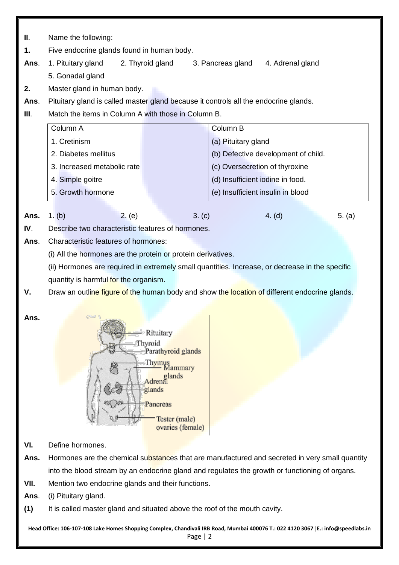**II**. Name the following:

**1.** Five endocrine glands found in human body.

**Ans**. 1. Pituitary gland 2. Thyroid gland 3. Pancreas gland 4. Adrenal gland

- 5. Gonadal gland
- **2.** Master gland in human body.

**Ans**. Pituitary gland is called master gland because it controls all the endocrine glands.

**III.** Match the items in Column A with those in Column B.

| Column A                    | Column B                            |
|-----------------------------|-------------------------------------|
| 1. Cretinism                | (a) Pituitary gland                 |
| 2. Diabetes mellitus        | (b) Defective development of child. |
| 3. Increased metabolic rate | (c) Oversecretion of thyroxine      |
| 4. Simple goitre            | (d) Insufficient iodine in food.    |
| 5. Growth hormone           | (e) Insufficient insulin in blood   |

**Ans.** 1. (b) 2. (e) 3. (c) 4. (d) 5. (a)

**IV**. Describe two characteristic features of hormones.

**Ans**. Characteristic features of hormones:

(i) All the hormones are the protein or protein derivatives.

(ii) Hormones are required in extremely small quantities. Increase, or decrease in the specific quantity is harmful for the organism.

- **V.** Draw an outline figure of the human body and show the location of different endocrine glands.
- **Ans.**



- **VI.** Define hormones.
- Ans. Hormones are the chemical substances that are manufactured and secreted in very small quantity into the blood stream by an endocrine gland and regulates the growth or functioning of organs.
- **VII.** Mention two endocrine glands and their functions.

**Ans**. (i) Pituitary gland.

**(1)** It is called master gland and situated above the roof of the mouth cavity.

**Head Office: 106-107-108 Lake Homes Shopping Complex, Chandivali IRB Road, Mumbai 400076 T.: 022 4120 3067**│**E.: info@speedlabs.in** Page | 2